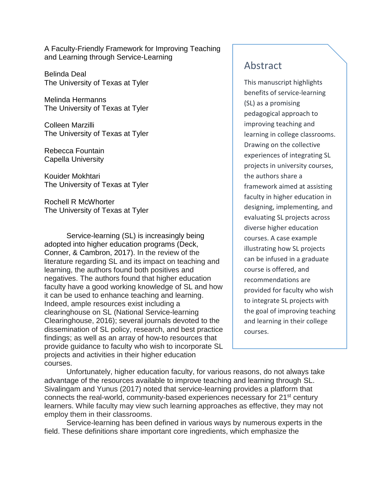A Faculty-Friendly Framework for Improving Teaching and Learning through Service-Learning

Belinda Deal The University of Texas at Tyler

Melinda Hermanns The University of Texas at Tyler

Colleen Marzilli The University of Texas at Tyler

Rebecca Fountain Capella University

Kouider Mokhtari The University of Texas at Tyler

Rochell R McWhorter The University of Texas at Tyler

Service-learning (SL) is increasingly being adopted into higher education programs (Deck, Conner, & Cambron, 2017). In the review of the literature regarding SL and its impact on teaching and learning, the authors found both positives and negatives. The authors found that higher education faculty have a good working knowledge of SL and how it can be used to enhance teaching and learning. Indeed, ample resources exist including a clearinghouse on SL (National Service-learning Clearinghouse, 2016); several journals devoted to the dissemination of SL policy, research, and best practice findings; as well as an array of how-to resources that provide guidance to faculty who wish to incorporate SL projects and activities in their higher education courses.

# Unfortunately, higher education faculty, for various reasons, do not always take advantage of the resources available to improve teaching and learning through SL. Sivalingam and Yunus (2017) noted that service-learning provides a platform that connects the real-world, community-based experiences necessary for 21<sup>st</sup> century

learners. While faculty may view such learning approaches as effective, they may not employ them in their classrooms.

Service-learning has been defined in various ways by numerous experts in the field. These definitions share important core ingredients, which emphasize the

## Abstract

This manuscript highlights benefits of service-learning (SL) as a promising pedagogical approach to improving teaching and learning in college classrooms. Drawing on the collective experiences of integrating SL projects in university courses, the authors share a framework aimed at assisting faculty in higher education in designing, implementing, and evaluating SL projects across diverse higher education courses. A case example illustrating how SL projects can be infused in a graduate course is offered, and recommendations are provided for faculty who wish to integrate SL projects with the goal of improving teaching and learning in their college courses.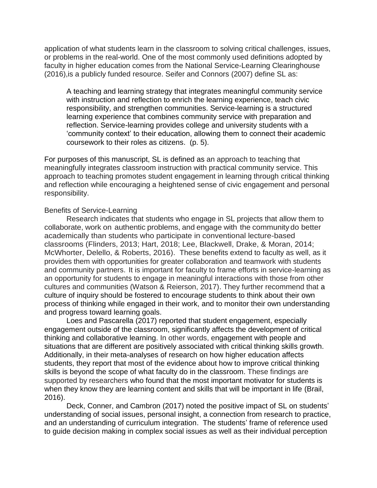application of what students learn in the classroom to solving critical challenges, issues, or problems in the real-world. One of the most commonly used definitions adopted by faculty in higher education comes from the National Service-Learning Clearinghouse (2016),is a publicly funded resource. Seifer and Connors (2007) define SL as:

A teaching and learning strategy that integrates meaningful community service with instruction and reflection to enrich the learning experience, teach civic responsibility, and strengthen communities. Service-learning is a structured learning experience that combines community service with preparation and reflection. Service-learning provides college and university students with a 'community context' to their education, allowing them to connect their academic coursework to their roles as citizens. (p. 5).

For purposes of this manuscript, SL is defined as an approach to teaching that meaningfully integrates classroom instruction with practical community service. This approach to teaching promotes student engagement in learning through critical thinking and reflection while encouraging a heightened sense of civic engagement and personal responsibility.

#### Benefits of Service-Learning

Research indicates that students who engage in SL projects that allow them to collaborate, work on authentic problems, and engage with the community do better academically than students who participate in conventional lecture-based classrooms (Flinders, 2013; Hart, 2018; Lee, Blackwell, Drake, & Moran, 2014; McWhorter, Delello, & Roberts, 2016). These benefits extend to faculty as well, as it provides them with opportunities for greater collaboration and teamwork with students and community partners. It is important for faculty to frame efforts in service-learning as an opportunity for students to engage in meaningful interactions with those from other cultures and communities (Watson & Reierson, 2017). They further recommend that a culture of inquiry should be fostered to encourage students to think about their own process of thinking while engaged in their work, and to monitor their own understanding and progress toward learning goals.

Loes and Pascarella (2017) reported that student engagement, especially engagement outside of the classroom, significantly affects the development of critical thinking and collaborative learning. In other words, engagement with people and situations that are different are positively associated with critical thinking skills growth. Additionally, in their meta-analyses of research on how higher education affects students, they report that most of the evidence about how to improve critical thinking skills is beyond the scope of what faculty do in the classroom. These findings are supported by researchers who found that the most important motivator for students is when they know they are learning content and skills that will be important in life (Brail, 2016).

Deck, Conner, and Cambron (2017) noted the positive impact of SL on students' understanding of social issues, personal insight, a connection from research to practice, and an understanding of curriculum integration. The students' frame of reference used to guide decision making in complex social issues as well as their individual perception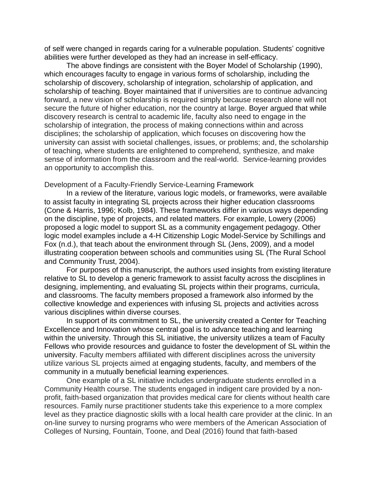of self were changed in regards caring for a vulnerable population. Students' cognitive abilities were further developed as they had an increase in self-efficacy.

The above findings are consistent with the Boyer Model of Scholarship (1990), which encourages faculty to engage in various forms of scholarship, including the scholarship of discovery, scholarship of integration, scholarship of application, and scholarship of teaching. Boyer maintained that if universities are to continue advancing forward, a new vision of scholarship is required simply because research alone will not secure the future of higher education, nor the country at large. Boyer argued that while discovery research is central to academic life, faculty also need to engage in the scholarship of integration, the process of making connections within and across disciplines; the scholarship of application, which focuses on discovering how the university can assist with societal challenges, issues, or problems; and, the scholarship of teaching, where students are enlightened to comprehend, synthesize, and make sense of information from the classroom and the real-world. Service-learning provides an opportunity to accomplish this.

#### Development of a Faculty-Friendly Service-Learning Framework

In a review of the literature, various logic models, or frameworks, were available to assist faculty in integrating SL projects across their higher education classrooms (Cone & Harris, 1996; Kolb, 1984). These frameworks differ in various ways depending on the discipline, type of projects, and related matters. For example, Lowery (2006) proposed a logic model to support SL as a community engagement pedagogy. Other logic model examples include a 4-H Citizenship Logic Model-Service by Schillings and Fox (n.d.), that teach about the environment through SL (Jens, 2009), and a model illustrating cooperation between schools and communities using SL (The Rural School and Community Trust, 2004).

For purposes of this manuscript, the authors used insights from existing literature relative to SL to develop a generic framework to assist faculty across the disciplines in designing, implementing, and evaluating SL projects within their programs, curricula, and classrooms. The faculty members proposed a framework also informed by the collective knowledge and experiences with infusing SL projects and activities across various disciplines within diverse courses.

In support of its commitment to SL, the university created a Center for Teaching Excellence and Innovation whose central goal is to advance teaching and learning within the university. Through this SL initiative, the university utilizes a team of Faculty Fellows who provide resources and guidance to foster the development of SL within the university. Faculty members affiliated with different disciplines across the university utilize various SL projects aimed at engaging students, faculty, and members of the community in a mutually beneficial learning experiences.

One example of a SL initiative includes undergraduate students enrolled in a Community Health course. The students engaged in indigent care provided by a nonprofit, faith-based organization that provides medical care for clients without health care resources. Family nurse practitioner students take this experience to a more complex level as they practice diagnostic skills with a local health care provider at the clinic. In an on-line survey to nursing programs who were members of the American Association of Colleges of Nursing, Fountain, Toone, and Deal (2016) found that faith-based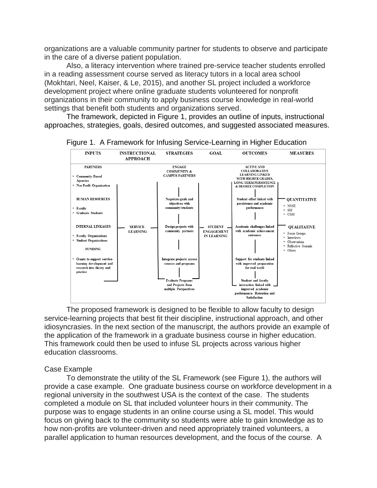organizations are a valuable community partner for students to observe and participate in the care of a diverse patient population.

Also, a literacy intervention where trained pre-service teacher students enrolled in a reading assessment course served as literacy tutors in a local area school (Mokhtari, Neel, Kaiser, & Le, 2015), and another SL project included a workforce development project where online graduate students volunteered for nonprofit organizations in their community to apply business course knowledge in real-world settings that benefit both students and organizations served.

The framework, depicted in Figure 1, provides an outline of inputs, instructional approaches, strategies, goals, desired outcomes, and suggested associated measures.





The proposed framework is designed to be flexible to allow faculty to design service-learning projects that best fit their discipline, instructional approach, and other idiosyncrasies. In the next section of the manuscript, the authors provide an example of the application of the framework in a graduate business course in higher education. This framework could then be used to infuse SL projects across various higher education classrooms.

#### Case Example

To demonstrate the utility of the SL Framework (see Figure 1), the authors will provide a case example. One graduate business course on workforce development in a regional university in the southwest USA is the context of the case. The students completed a module on SL that included volunteer hours in their community. The purpose was to engage students in an online course using a SL model. This would focus on giving back to the community so students were able to gain knowledge as to how non-profits are volunteer-driven and need appropriately trained volunteers, a parallel application to human resources development, and the focus of the course. A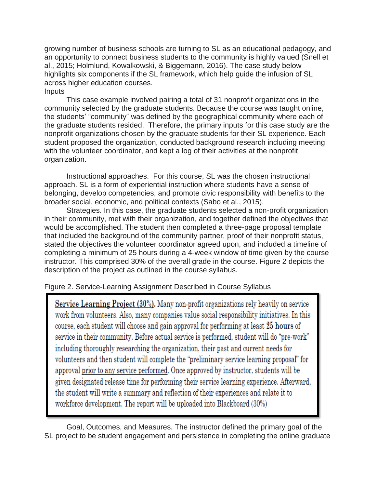growing number of business schools are turning to SL as an educational pedagogy, and an opportunity to connect business students to the community is highly valued (Snell et al., 2015; Holmlund, Kowalkowski, & Biggemann, 2016). The case study below highlights six components if the SL framework, which help guide the infusion of SL across higher education courses. Inputs

This case example involved pairing a total of 31 nonprofit organizations in the community selected by the graduate students. Because the course was taught online, the students' "community" was defined by the geographical community where each of the graduate students resided. Therefore, the primary inputs for this case study are the nonprofit organizations chosen by the graduate students for their SL experience. Each student proposed the organization, conducted background research including meeting with the volunteer coordinator, and kept a log of their activities at the nonprofit organization.

Instructional approaches. For this course, SL was the chosen instructional approach. SL is a form of experiential instruction where students have a sense of belonging, develop competencies, and promote civic responsibility with benefits to the broader social, economic, and political contexts (Sabo et al., 2015).

Strategies. In this case, the graduate students selected a non-profit organization in their community, met with their organization, and together defined the objectives that would be accomplished. The student then completed a three-page proposal template that included the background of the community partner, proof of their nonprofit status, stated the objectives the volunteer coordinator agreed upon, and included a timeline of completing a minimum of 25 hours during a 4-week window of time given by the course instructor. This comprised 30% of the overall grade in the course. Figure 2 depicts the description of the project as outlined in the course syllabus.

## Figure 2. Service-Learning Assignment Described in Course Syllabus

Service Learning Project (30%). Many non-profit organizations rely heavily on service work from volunteers. Also, many companies value social responsibility initiatives. In this course, each student will choose and gain approval for performing at least 25 hours of service in their community. Before actual service is performed, student will do "pre-work" including thoroughly researching the organization, their past and current needs for volunteers and then student will complete the "preliminary service learning proposal" for approval prior to any service performed. Once approved by instructor, students will be given designated release time for performing their service learning experience. Afterward, the student will write a summary and reflection of their experiences and relate it to workforce development. The report will be uploaded into Blackboard (30%)

Goal, Outcomes, and Measures. The instructor defined the primary goal of the SL project to be student engagement and persistence in completing the online graduate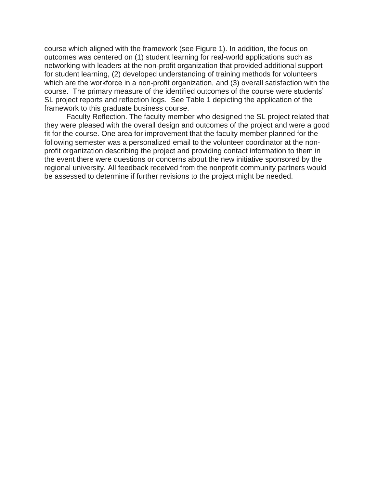course which aligned with the framework (see Figure 1). In addition, the focus on outcomes was centered on (1) student learning for real-world applications such as networking with leaders at the non-profit organization that provided additional support for student learning, (2) developed understanding of training methods for volunteers which are the workforce in a non-profit organization, and (3) overall satisfaction with the course. The primary measure of the identified outcomes of the course were students' SL project reports and reflection logs. See Table 1 depicting the application of the framework to this graduate business course.

Faculty Reflection. The faculty member who designed the SL project related that they were pleased with the overall design and outcomes of the project and were a good fit for the course. One area for improvement that the faculty member planned for the following semester was a personalized email to the volunteer coordinator at the nonprofit organization describing the project and providing contact information to them in the event there were questions or concerns about the new initiative sponsored by the regional university. All feedback received from the nonprofit community partners would be assessed to determine if further revisions to the project might be needed.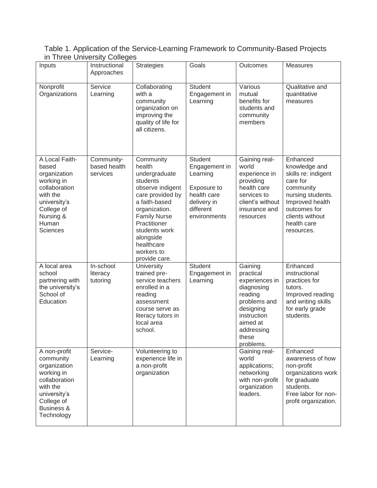| Table 1. Application of the Service-Learning Framework to Community-Based Projects |  |
|------------------------------------------------------------------------------------|--|
| in Three University Colleges                                                       |  |

| Inputs                                                                                                                                                    | Instructional<br>Approaches            | <b>Strategies</b>                                                                                                                                                                                                                            | Goals                                                                                                                 | Outcomes                                                                                                                                                    | <b>Measures</b>                                                                                                                                                                   |
|-----------------------------------------------------------------------------------------------------------------------------------------------------------|----------------------------------------|----------------------------------------------------------------------------------------------------------------------------------------------------------------------------------------------------------------------------------------------|-----------------------------------------------------------------------------------------------------------------------|-------------------------------------------------------------------------------------------------------------------------------------------------------------|-----------------------------------------------------------------------------------------------------------------------------------------------------------------------------------|
| Nonprofit<br>Organizations                                                                                                                                | Service<br>Learning                    | Collaborating<br>with a<br>community<br>organization on<br>improving the<br>quality of life for<br>all citizens.                                                                                                                             | <b>Student</b><br>Engagement in<br>Learning                                                                           | Various<br>mutual<br>benefits for<br>students and<br>community<br>members                                                                                   | Qualitative and<br>quantitative<br>measures                                                                                                                                       |
| A Local Faith-<br>based<br>organization<br>working in<br>collaboration<br>with the<br>university's<br>College of<br>Nursing &<br>Human<br><b>Sciences</b> | Community-<br>based health<br>services | Community<br>health<br>undergraduate<br>students<br>observe indigent<br>care provided by<br>a faith-based<br>organization.<br><b>Family Nurse</b><br>Practitioner<br>students work<br>alongside<br>healthcare<br>workers to<br>provide care. | <b>Student</b><br>Engagement in<br>Learning<br>Exposure to<br>health care<br>delivery in<br>different<br>environments | Gaining real-<br>world<br>experience in<br>providing<br>health care<br>services to<br>client's without<br>insurance and<br>resources                        | Enhanced<br>knowledge and<br>skills re: indigent<br>care for<br>community<br>nursing students.<br>Improved health<br>outcomes for<br>clients without<br>health care<br>resources. |
| A local area<br>school<br>partnering with<br>the university's<br>School of<br>Education                                                                   | In-school<br>literacy<br>tutoring      | University<br>trained pre-<br>service teachers<br>enrolled in a<br>reading<br>assessment<br>course serve as<br>literacy tutors in<br>local area<br>school.                                                                                   | <b>Student</b><br>Engagement in<br>Learning                                                                           | Gaining<br>practical<br>experiences in<br>diagnosing<br>reading<br>problems and<br>designing<br>instruction<br>aimed at<br>addressing<br>these<br>problems. | Enhanced<br>instructional<br>practices for<br>tutors.<br>Improved reading<br>and writing skills<br>for early grade<br>students.                                                   |
| A non-profit<br>community<br>organization<br>working in<br>collaboration<br>with the<br>university's<br>College of<br>Business &<br>Technology            | Service-<br>Learning                   | Volunteering to<br>experience life in<br>a non-profit<br>organization                                                                                                                                                                        |                                                                                                                       | Gaining real-<br>world<br>applications;<br>networking<br>with non-profit<br>organization<br>leaders.                                                        | Enhanced<br>awareness of how<br>non-profit<br>organizations work<br>for graduate<br>students.<br>Free labor for non-<br>profit organization.                                      |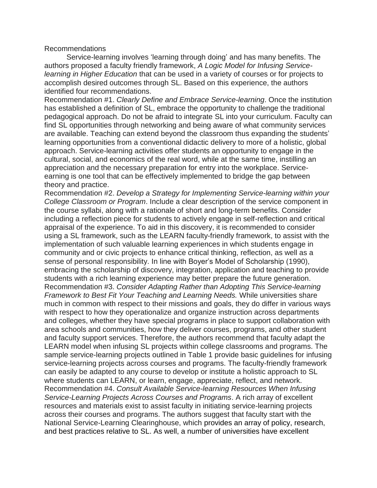Recommendations

Service-learning involves 'learning through doing' and has many benefits. The authors proposed a faculty friendly framework, *A Logic Model for Infusing Servicelearning in Higher Education* that can be used in a variety of courses or for projects to accomplish desired outcomes through SL. Based on this experience, the authors identified four recommendations.

Recommendation #1. *Clearly Define and Embrace Service-learning*. Once the institution has established a definition of SL, embrace the opportunity to challenge the traditional pedagogical approach. Do not be afraid to integrate SL into your curriculum. Faculty can find SL opportunities through networking and being aware of what community services are available. Teaching can extend beyond the classroom thus expanding the students' learning opportunities from a conventional didactic delivery to more of a holistic, global approach. Service-learning activities offer students an opportunity to engage in the cultural, social, and economics of the real word, while at the same time, instilling an appreciation and the necessary preparation for entry into the workplace. Serviceearning is one tool that can be effectively implemented to bridge the gap between theory and practice.

Recommendation #2. *Develop a Strategy for Implementing Service-learning within your College Classroom or Program*. Include a clear description of the service component in the course syllabi, along with a rationale of short and long-term benefits. Consider including a reflection piece for students to actively engage in self-reflection and critical appraisal of the experience. To aid in this discovery, it is recommended to consider using a SL framework, such as the LEARN faculty-friendly framework, to assist with the implementation of such valuable learning experiences in which students engage in community and or civic projects to enhance critical thinking, reflection, as well as a sense of personal responsibility. In line with Boyer's Model of Scholarship (1990), embracing the scholarship of discovery, integration, application and teaching to provide students with a rich learning experience may better prepare the future generation. Recommendation #3. *Consider Adapting Rather than Adopting This Service-learning Framework to Best Fit Your Teaching and Learning Needs.* While universities share much in common with respect to their missions and goals, they do differ in various ways with respect to how they operationalize and organize instruction across departments and colleges, whether they have special programs in place to support collaboration with area schools and communities, how they deliver courses, programs, and other student and faculty support services. Therefore, the authors recommend that faculty adapt the LEARN model when infusing SL projects within college classrooms and programs. The sample service-learning projects outlined in Table 1 provide basic guidelines for infusing service-learning projects across courses and programs. The faculty-friendly framework can easily be adapted to any course to develop or institute a holistic approach to SL where students can LEARN, or learn, engage, appreciate, reflect, and network. Recommendation #4. *Consult Available Service-learning Resources When Infusing Service-Learning Projects Across Courses and Programs*. A rich array of excellent resources and materials exist to assist faculty in initiating service-learning projects across their courses and programs. The authors suggest that faculty start with the National Service-Learning Clearinghouse, which provides an array of policy, research, and best practices relative to SL. As well, a number of universities have excellent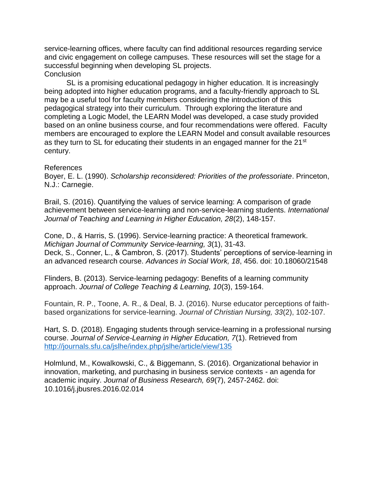service-learning offices, where faculty can find additional resources regarding service and civic engagement on college campuses. These resources will set the stage for a successful beginning when developing SL projects. **Conclusion** 

SL is a promising educational pedagogy in higher education. It is increasingly being adopted into higher education programs, and a faculty-friendly approach to SL may be a useful tool for faculty members considering the introduction of this pedagogical strategy into their curriculum. Through exploring the literature and completing a Logic Model, the LEARN Model was developed, a case study provided based on an online business course, and four recommendations were offered. Faculty members are encouraged to explore the LEARN Model and consult available resources as they turn to SL for educating their students in an engaged manner for the 21<sup>st</sup> century.

#### References

Boyer, E. L. (1990). *Scholarship reconsidered: Priorities of the professoriate*. Princeton, N.J.: Carnegie.

Brail, S. (2016). Quantifying the values of service learning: A comparison of grade achievement between service-learning and non-service-learning students. *International Journal of Teaching and Learning in Higher Education, 28*(2), 148-157.

Cone, D., & Harris, S. (1996). Service-learning practice: A theoretical framework. *Michigan Journal of Community Service-learning, 3*(1), 31-43. Deck, S., Conner, L., & Cambron, S. (2017). Students' perceptions of service-learning in an advanced research course. *Advances in Social Work, 18*, 456. doi: 10.18060/21548

Flinders, B. (2013). Service-learning pedagogy: Benefits of a learning community approach. *Journal of College Teaching & Learning, 10*(3), 159-164.

Fountain, R. P., Toone, A. R., & Deal, B. J. (2016). Nurse educator perceptions of faithbased organizations for service-learning. *Journal of Christian Nursing, 33*(2), 102-107.

Hart, S. D. (2018). Engaging students through service-learning in a professional nursing course. *Journal of Service-Learning in Higher Education, 7*(1). Retrieved from <http://journals.sfu.ca/jslhe/index.php/jslhe/article/view/135>

Holmlund, M., Kowalkowski, C., & Biggemann, S. (2016). Organizational behavior in innovation, marketing, and purchasing in business service contexts - an agenda for academic inquiry. *Journal of Business Research, 69*(7), 2457-2462. doi: 10.1016/j.jbusres.2016.02.014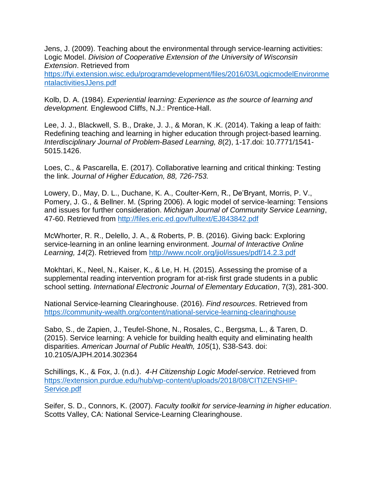Jens, J. (2009). Teaching about the environmental through service-learning activities: Logic Model. *Division of Cooperative Extension of the University of Wisconsin Extension*. Retrieved from

[https://fyi.extension.wisc.edu/programdevelopment/files/2016/03/LogicmodelEnvironme](https://fyi.extension.wisc.edu/programdevelopment/files/2016/03/LogicmodelEnvironmentalactivitiesJJens.pdf) [ntalactivitiesJJens.pdf](https://fyi.extension.wisc.edu/programdevelopment/files/2016/03/LogicmodelEnvironmentalactivitiesJJens.pdf)

Kolb, D. A. (1984). *Experiential learning: Experience as the source of learning and development.* Englewood Cliffs, N.J.: Prentice-Hall.

Lee, J. J., Blackwell, S. B., Drake, J. J., & Moran, K .K. (2014). Taking a leap of faith: Redefining teaching and learning in higher education through project-based learning. *Interdisciplinary Journal of Problem-Based Learning, 8*(2), 1-17.doi: 10.7771/1541- 5015.1426.

Loes, C., & Pascarella, E. (2017). Collaborative learning and critical thinking: Testing the link. *Journal of Higher Education, 88, 726-753.*

Lowery, D., May, D. L., Duchane, K. A., Coulter-Kern, R., De'Bryant, Morris, P. V., Pomery, J. G., & Bellner. M. (Spring 2006). A logic model of service-learning: Tensions and issues for further consideration. *Michigan Journal of Community Service Learning*, 47-60. Retrieved from<http://files.eric.ed.gov/fulltext/EJ843842.pdf>

McWhorter, R. R., Delello, J. A., & Roberts, P. B. (2016). Giving back: Exploring service-learning in an online learning environment. *Journal of Interactive Online Learning, 14*(2). Retrieved from<http://www.ncolr.org/jiol/issues/pdf/14.2.3.pdf>

Mokhtari, K., Neel, N., Kaiser, K., & Le, H. H. (2015). Assessing the promise of a supplemental reading intervention program for at-risk first grade students in a public school setting. *International Electronic Journal of Elementary Education*, 7(3), 281-300.

National Service-learning Clearinghouse. (2016). *Find resources*. Retrieved from <https://community-wealth.org/content/national-service-learning-clearinghouse>

Sabo, S., de Zapien, J., Teufel-Shone, N., Rosales, C., Bergsma, L., & Taren, D. (2015). Service learning: A vehicle for building health equity and eliminating health disparities. *American Journal of Public Health, 105*(1), S38-S43. doi: 10.2105/AJPH.2014.302364

Schillings, K., & Fox, J. (n.d.). *4-H Citizenship Logic Model-service*. Retrieved from [https://extension.purdue.edu/hub/wp-content/uploads/2018/08/CITIZENSHIP-](https://extension.purdue.edu/hub/wp-content/uploads/2018/08/CITIZENSHIP-Service.pdf)[Service.pdf](https://extension.purdue.edu/hub/wp-content/uploads/2018/08/CITIZENSHIP-Service.pdf)

Seifer, S. D., Connors, K. (2007). *Faculty toolkit for service-learning in higher education*. Scotts Valley, CA: National Service-Learning Clearinghouse.